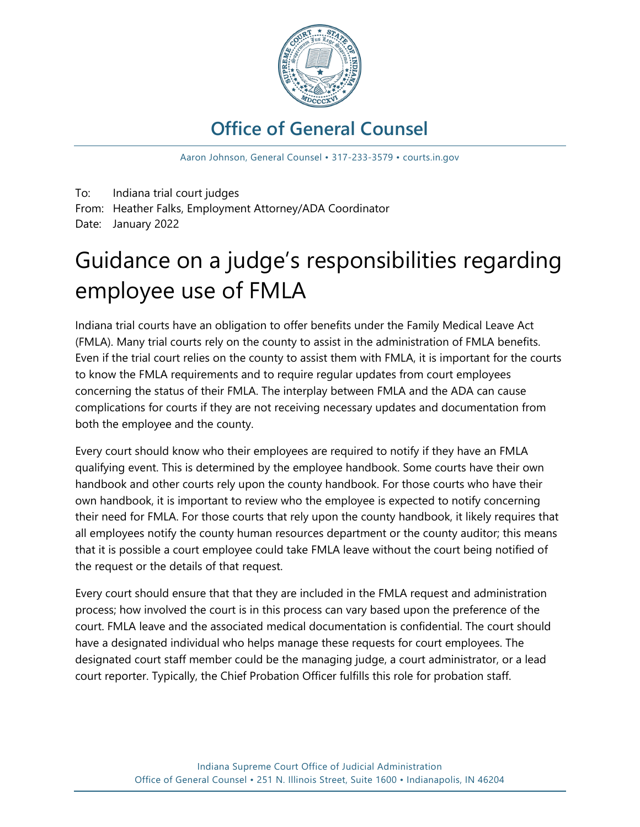

# **Office of General Counsel**

Aaron Johnson, General Counsel • 317-233-3579 • courts.in.gov

To: Indiana trial court judges From: Heather Falks, Employment Attorney/ADA Coordinator Date: January 2022

# Guidance on a judge's responsibilities regarding employee use of FMLA

Indiana trial courts have an obligation to offer benefits under the Family Medical Leave Act (FMLA). Many trial courts rely on the county to assist in the administration of FMLA benefits. Even if the trial court relies on the county to assist them with FMLA, it is important for the courts to know the FMLA requirements and to require regular updates from court employees concerning the status of their FMLA. The interplay between FMLA and the ADA can cause complications for courts if they are not receiving necessary updates and documentation from both the employee and the county.

Every court should know who their employees are required to notify if they have an FMLA qualifying event. This is determined by the employee handbook. Some courts have their own handbook and other courts rely upon the county handbook. For those courts who have their own handbook, it is important to review who the employee is expected to notify concerning their need for FMLA. For those courts that rely upon the county handbook, it likely requires that all employees notify the county human resources department or the county auditor; this means that it is possible a court employee could take FMLA leave without the court being notified of the request or the details of that request.

Every court should ensure that that they are included in the FMLA request and administration process; how involved the court is in this process can vary based upon the preference of the court. FMLA leave and the associated medical documentation is confidential. The court should have a designated individual who helps manage these requests for court employees. The designated court staff member could be the managing judge, a court administrator, or a lead court reporter. Typically, the Chief Probation Officer fulfills this role for probation staff.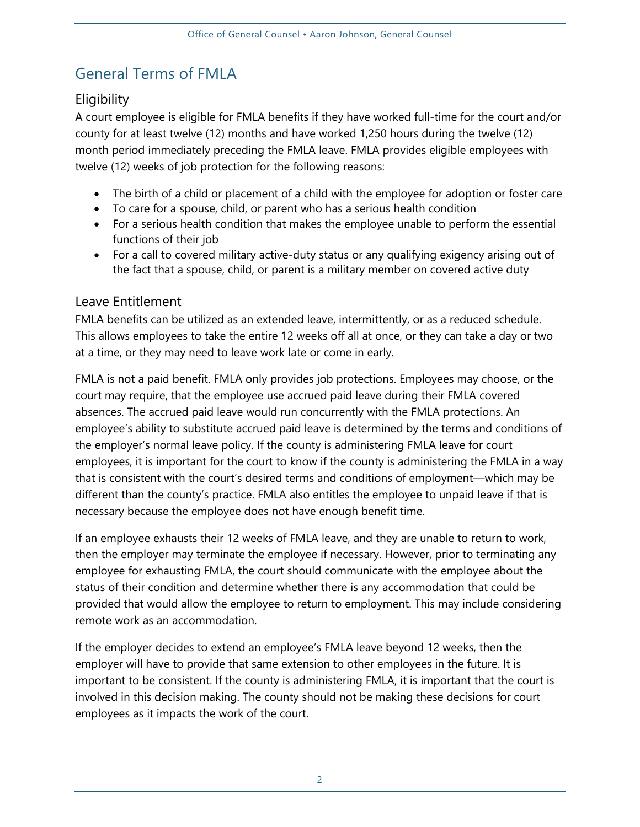## General Terms of FMLA

#### **Eligibility**

A court employee is eligible for FMLA benefits if they have worked full-time for the court and/or county for at least twelve (12) months and have worked 1,250 hours during the twelve (12) month period immediately preceding the FMLA leave. FMLA provides eligible employees with twelve (12) weeks of job protection for the following reasons:

- The birth of a child or placement of a child with the employee for adoption or foster care
- To care for a spouse, child, or parent who has a serious health condition
- For a serious health condition that makes the employee unable to perform the essential functions of their job
- For a call to covered military active-duty status or any qualifying exigency arising out of the fact that a spouse, child, or parent is a military member on covered active duty

#### Leave Entitlement

FMLA benefits can be utilized as an extended leave, intermittently, or as a reduced schedule. This allows employees to take the entire 12 weeks off all at once, or they can take a day or two at a time, or they may need to leave work late or come in early.

FMLA is not a paid benefit. FMLA only provides job protections. Employees may choose, or the court may require, that the employee use accrued paid leave during their FMLA covered absences. The accrued paid leave would run concurrently with the FMLA protections. An employee's ability to substitute accrued paid leave is determined by the terms and conditions of the employer's normal leave policy. If the county is administering FMLA leave for court employees, it is important for the court to know if the county is administering the FMLA in a way that is consistent with the court's desired terms and conditions of employment—which may be different than the county's practice. FMLA also entitles the employee to unpaid leave if that is necessary because the employee does not have enough benefit time.

If an employee exhausts their 12 weeks of FMLA leave, and they are unable to return to work, then the employer may terminate the employee if necessary. However, prior to terminating any employee for exhausting FMLA, the court should communicate with the employee about the status of their condition and determine whether there is any accommodation that could be provided that would allow the employee to return to employment. This may include considering remote work as an accommodation.

If the employer decides to extend an employee's FMLA leave beyond 12 weeks, then the employer will have to provide that same extension to other employees in the future. It is important to be consistent. If the county is administering FMLA, it is important that the court is involved in this decision making. The county should not be making these decisions for court employees as it impacts the work of the court.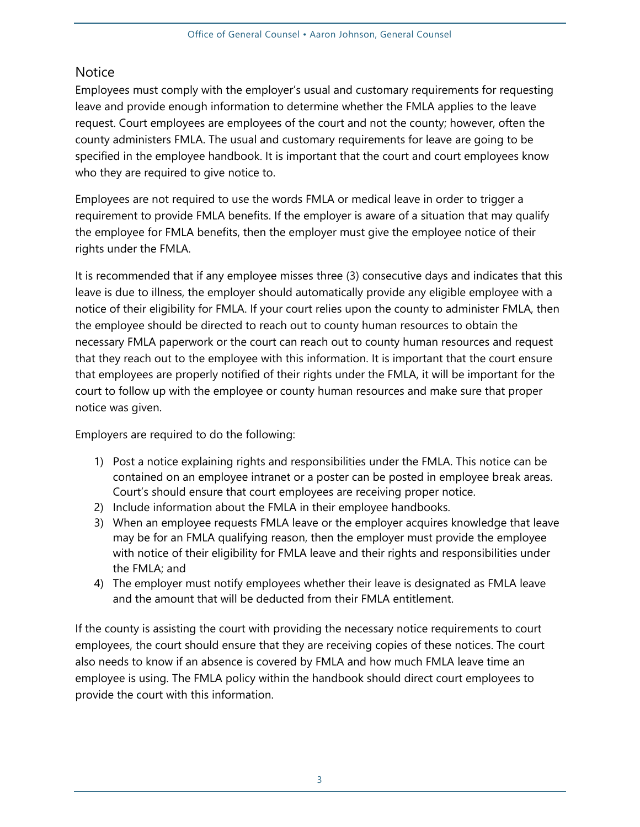#### **Notice**

Employees must comply with the employer's usual and customary requirements for requesting leave and provide enough information to determine whether the FMLA applies to the leave request. Court employees are employees of the court and not the county; however, often the county administers FMLA. The usual and customary requirements for leave are going to be specified in the employee handbook. It is important that the court and court employees know who they are required to give notice to.

Employees are not required to use the words FMLA or medical leave in order to trigger a requirement to provide FMLA benefits. If the employer is aware of a situation that may qualify the employee for FMLA benefits, then the employer must give the employee notice of their rights under the FMLA.

It is recommended that if any employee misses three (3) consecutive days and indicates that this leave is due to illness, the employer should automatically provide any eligible employee with a notice of their eligibility for FMLA. If your court relies upon the county to administer FMLA, then the employee should be directed to reach out to county human resources to obtain the necessary FMLA paperwork or the court can reach out to county human resources and request that they reach out to the employee with this information. It is important that the court ensure that employees are properly notified of their rights under the FMLA, it will be important for the court to follow up with the employee or county human resources and make sure that proper notice was given.

Employers are required to do the following:

- 1) Post a notice explaining rights and responsibilities under the FMLA. This notice can be contained on an employee intranet or a poster can be posted in employee break areas. Court's should ensure that court employees are receiving proper notice.
- 2) Include information about the FMLA in their employee handbooks.
- 3) When an employee requests FMLA leave or the employer acquires knowledge that leave may be for an FMLA qualifying reason, then the employer must provide the employee with notice of their eligibility for FMLA leave and their rights and responsibilities under the FMLA; and
- 4) The employer must notify employees whether their leave is designated as FMLA leave and the amount that will be deducted from their FMLA entitlement.

If the county is assisting the court with providing the necessary notice requirements to court employees, the court should ensure that they are receiving copies of these notices. The court also needs to know if an absence is covered by FMLA and how much FMLA leave time an employee is using. The FMLA policy within the handbook should direct court employees to provide the court with this information.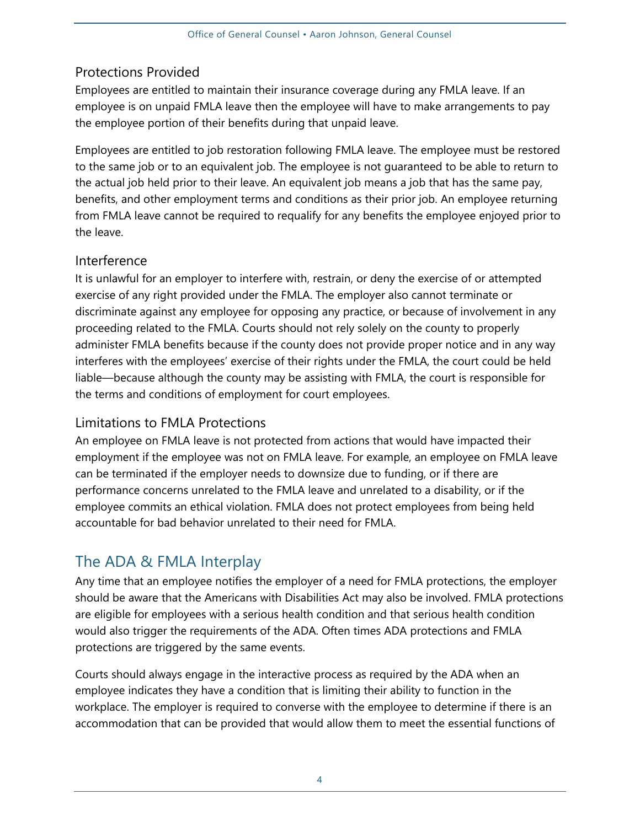#### Protections Provided

Employees are entitled to maintain their insurance coverage during any FMLA leave. If an employee is on unpaid FMLA leave then the employee will have to make arrangements to pay the employee portion of their benefits during that unpaid leave.

Employees are entitled to job restoration following FMLA leave. The employee must be restored to the same job or to an equivalent job. The employee is not guaranteed to be able to return to the actual job held prior to their leave. An equivalent job means a job that has the same pay, benefits, and other employment terms and conditions as their prior job. An employee returning from FMLA leave cannot be required to requalify for any benefits the employee enjoyed prior to the leave.

#### Interference

It is unlawful for an employer to interfere with, restrain, or deny the exercise of or attempted exercise of any right provided under the FMLA. The employer also cannot terminate or discriminate against any employee for opposing any practice, or because of involvement in any proceeding related to the FMLA. Courts should not rely solely on the county to properly administer FMLA benefits because if the county does not provide proper notice and in any way interferes with the employees' exercise of their rights under the FMLA, the court could be held liable—because although the county may be assisting with FMLA, the court is responsible for the terms and conditions of employment for court employees.

#### Limitations to FMLA Protections

An employee on FMLA leave is not protected from actions that would have impacted their employment if the employee was not on FMLA leave. For example, an employee on FMLA leave can be terminated if the employer needs to downsize due to funding, or if there are performance concerns unrelated to the FMLA leave and unrelated to a disability, or if the employee commits an ethical violation. FMLA does not protect employees from being held accountable for bad behavior unrelated to their need for FMLA.

## The ADA & FMLA Interplay

Any time that an employee notifies the employer of a need for FMLA protections, the employer should be aware that the Americans with Disabilities Act may also be involved. FMLA protections are eligible for employees with a serious health condition and that serious health condition would also trigger the requirements of the ADA. Often times ADA protections and FMLA protections are triggered by the same events.

Courts should always engage in the interactive process as required by the ADA when an employee indicates they have a condition that is limiting their ability to function in the workplace. The employer is required to converse with the employee to determine if there is an accommodation that can be provided that would allow them to meet the essential functions of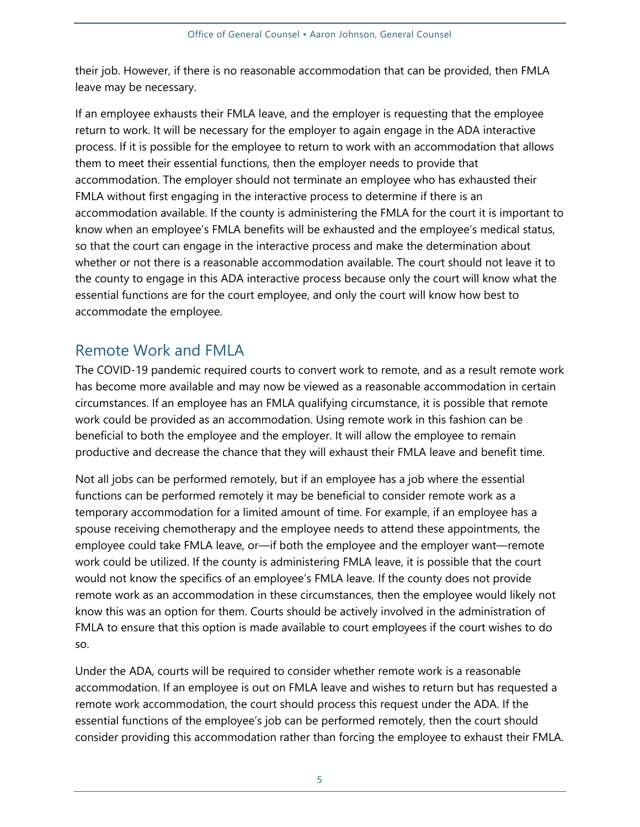their job. However, if there is no reasonable accommodation that can be provided, then FMLA leave may be necessary.

If an employee exhausts their FMLA leave, and the employer is requesting that the employee return to work. It will be necessary for the employer to again engage in the ADA interactive process. If it is possible for the employee to return to work with an accommodation that allows them to meet their essential functions, then the employer needs to provide that accommodation. The employer should not terminate an employee who has exhausted their FMLA without first engaging in the interactive process to determine if there is an accommodation available. If the county is administering the FMLA for the court it is important to know when an employee's FMLA benefits will be exhausted and the employee's medical status, so that the court can engage in the interactive process and make the determination about whether or not there is a reasonable accommodation available. The court should not leave it to the county to engage in this ADA interactive process because only the court will know what the essential functions are for the court employee, and only the court will know how best to accommodate the employee.

### Remote Work and FMLA

The COVID-19 pandemic required courts to convert work to remote, and as a result remote work has become more available and may now be viewed as a reasonable accommodation in certain circumstances. If an employee has an FMLA qualifying circumstance, it is possible that remote work could be provided as an accommodation. Using remote work in this fashion can be beneficial to both the employee and the employer. It will allow the employee to remain productive and decrease the chance that they will exhaust their FMLA leave and benefit time.

Not all jobs can be performed remotely, but if an employee has a job where the essential functions can be performed remotely it may be beneficial to consider remote work as a temporary accommodation for a limited amount of time. For example, if an employee has a spouse receiving chemotherapy and the employee needs to attend these appointments, the employee could take FMLA leave, or—if both the employee and the employer want—remote work could be utilized. If the county is administering FMLA leave, it is possible that the court would not know the specifics of an employee's FMLA leave. If the county does not provide remote work as an accommodation in these circumstances, then the employee would likely not know this was an option for them. Courts should be actively involved in the administration of FMLA to ensure that this option is made available to court employees if the court wishes to do so.

Under the ADA, courts will be required to consider whether remote work is a reasonable accommodation. If an employee is out on FMLA leave and wishes to return but has requested a remote work accommodation, the court should process this request under the ADA. If the essential functions of the employee's job can be performed remotely, then the court should consider providing this accommodation rather than forcing the employee to exhaust their FMLA.